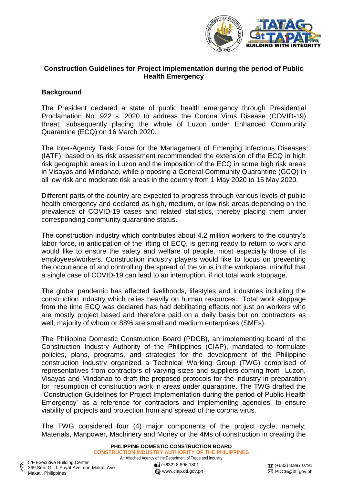

# **Construction Guidelines for Project Implementation during the period of Public Health Emergency**

# **Background**

The President declared a state of public health emergency through Presidential Proclamation No. 922 s. 2020 to address the Corona Virus Disease (COVID-19) threat, subsequently placing the whole of Luzon under Enhanced Community Quarantine (ECQ) on 16 March 2020.

The Inter-Agency Task Force for the Management of Emerging Infectious Diseases (IATF), based on its risk assessment recommended the extension of the ECQ in high risk geographic areas in Luzon and the imposition of the ECQ in some high risk areas in Visayas and Mindanao, while proposing a General Community Quarantine (GCQ) in all low risk and moderate risk areas in the country from 1 May 2020 to 15 May 2020.

Different parts of the country are expected to progress through various levels of public health emergency and declared as high, medium, or low risk areas depending on the prevalence of COVID-19 cases and related statistics, thereby placing them under corresponding community quarantine status.

The construction industry which contributes about 4.2 million workers to the country's labor force, in anticipation of the lifting of ECQ, is getting ready to return to work and would like to ensure the safety and welfare of people, most especially those of its employees/workers. Construction industry players would like to focus on preventing the occurrence of and controlling the spread of the virus in the workplace, mindful that a single case of COVID-19 can lead to an interruption, if not total work stoppage.

The global pandemic has affected livelihoods, lifestyles and industries including the construction industry which relies heavily on human resources. Total work stoppage from the time ECQ was declared has had debilitating effects not just on workers who are mostly project based and therefore paid on a daily basis but on contractors as well, majority of whom or 88% are small and medium enterprises (SMEs).

The Philippine Domestic Construction Board (PDCB), an implementing board of the Construction Industry Authority of the Philippines (CIAP), mandated to formulate policies, plans, programs, and strategies for the development of the Philippine construction industry organized a Technical Working Group (TWG) comprised of representatives from contractors of varying sizes and suppliers coming from Luzon, Visayas and Mindanao to draft the proposed protocols for the industry in preparation for resumption of construction work in areas under quarantine. The TWG drafted the "Construction Guidelines for Project Implementation during the period of Public Health Emergency" as a reference for contractors and implementing agencies, to ensure viability of projects and protection from and spread of the corona virus.

The TWG considered four (4) major components of the project cycle, namely; Materials, Manpower, Machinery and Money or the 4Ms of construction in creating the

[www.ciap.dti.gov.ph](http://www.ciap.dti.gov.ph/)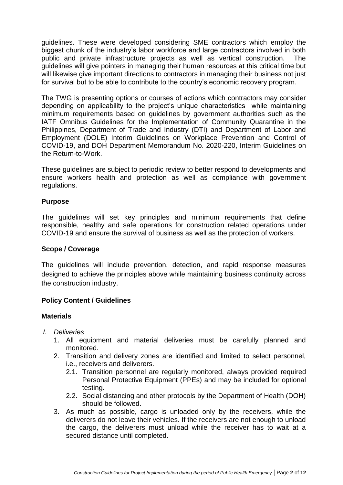guidelines. These were developed considering SME contractors which employ the biggest chunk of the industry's labor workforce and large contractors involved in both public and private infrastructure projects as well as vertical construction. The guidelines will give pointers in managing their human resources at this critical time but will likewise give important directions to contractors in managing their business not just for survival but to be able to contribute to the country's economic recovery program.

The TWG is presenting options or courses of actions which contractors may consider depending on applicability to the project's unique characteristics while maintaining minimum requirements based on guidelines by government authorities such as the IATF Omnibus Guidelines for the Implementation of Community Quarantine in the Philippines, Department of Trade and Industry (DTI) and Department of Labor and Employment (DOLE) Interim Guidelines on Workplace Prevention and Control of COVID-19, and DOH Department Memorandum No. 2020-220, Interim Guidelines on the Return-to-Work.

These guidelines are subject to periodic review to better respond to developments and ensure workers health and protection as well as compliance with government regulations.

## **Purpose**

The guidelines will set key principles and minimum requirements that define responsible, healthy and safe operations for construction related operations under COVID-19 and ensure the survival of business as well as the protection of workers.

#### **Scope / Coverage**

The guidelines will include prevention, detection, and rapid response measures designed to achieve the principles above while maintaining business continuity across the construction industry.

## **Policy Content / Guidelines**

#### **Materials**

- *I. Deliveries*
	- 1. All equipment and material deliveries must be carefully planned and monitored.
	- 2. Transition and delivery zones are identified and limited to select personnel, i.e., receivers and deliverers.
		- 2.1. Transition personnel are regularly monitored, always provided required Personal Protective Equipment (PPEs) and may be included for optional testing.
		- 2.2. Social distancing and other protocols by the Department of Health (DOH) should be followed.
	- 3. As much as possible, cargo is unloaded only by the receivers, while the deliverers do not leave their vehicles. If the receivers are not enough to unload the cargo, the deliverers must unload while the receiver has to wait at a secured distance until completed.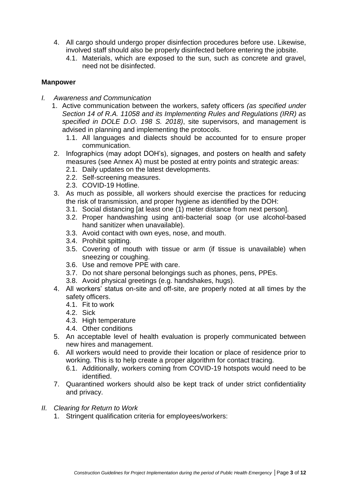- 4. All cargo should undergo proper disinfection procedures before use. Likewise, involved staff should also be properly disinfected before entering the jobsite.
	- 4.1. Materials, which are exposed to the sun, such as concrete and gravel, need not be disinfected.

## **Manpower**

- *I. Awareness and Communication*
	- 1. Active communication between the workers, safety officers *(as specified under Section 14 of R.A. 11058 and its Implementing Rules and Regulations (IRR) as specified in DOLE D.O. 198 S. 2018)*, site supervisors, and management is advised in planning and implementing the protocols.
		- 1.1. All languages and dialects should be accounted for to ensure proper communication.
	- 2. Infographics (may adopt DOH's), signages, and posters on health and safety measures (see Annex A) must be posted at entry points and strategic areas:
		- 2.1. Daily updates on the latest developments.
		- 2.2. Self-screening measures.
		- 2.3. COVID-19 Hotline.
	- 3. As much as possible, all workers should exercise the practices for reducing the risk of transmission, and proper hygiene as identified by the DOH:
		- 3.1. Social distancing [at least one (1) meter distance from next person].
		- 3.2. Proper handwashing using anti-bacterial soap (or use alcohol-based hand sanitizer when unavailable).
		- 3.3. Avoid contact with own eyes, nose, and mouth.
		- 3.4. Prohibit spitting.
		- 3.5. Covering of mouth with tissue or arm (if tissue is unavailable) when sneezing or coughing.
		- 3.6. Use and remove PPE with care.
		- 3.7. Do not share personal belongings such as phones, pens, PPEs.
		- 3.8. Avoid physical greetings (e.g. handshakes, hugs).
	- 4. All workers' status on-site and off-site, are properly noted at all times by the safety officers.
		- 4.1. Fit to work
		- 4.2. Sick
		- 4.3. High temperature
		- 4.4. Other conditions
	- 5. An acceptable level of health evaluation is properly communicated between new hires and management.
	- 6. All workers would need to provide their location or place of residence prior to working. This is to help create a proper algorithm for contact tracing.
		- 6.1. Additionally, workers coming from COVID-19 hotspots would need to be identified.
	- 7. Quarantined workers should also be kept track of under strict confidentiality and privacy.
- *II. Clearing for Return to Work* 
	- 1. Stringent qualification criteria for employees/workers: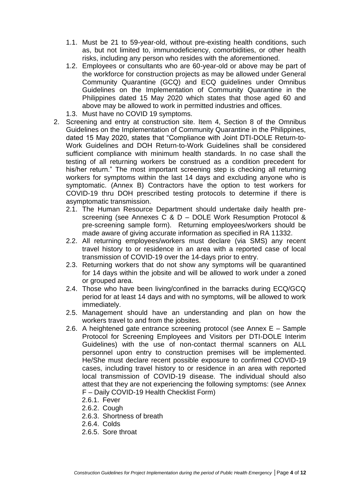- 1.1. Must be 21 to 59-year-old, without pre-existing health conditions, such as, but not limited to, immunodeficiency, comorbidities, or other health risks, including any person who resides with the aforementioned.
- 1.2. Employees or consultants who are 60-year-old or above may be part of the workforce for construction projects as may be allowed under General Community Quarantine (GCQ) and ECQ guidelines under Omnibus Guidelines on the Implementation of Community Quarantine in the Philippines dated 15 May 2020 which states that those aged 60 and above may be allowed to work in permitted industries and offices.
- 1.3. Must have no COVID 19 symptoms.
- 2. Screening and entry at construction site. Item 4, Section 8 of the Omnibus Guidelines on the Implementation of Community Quarantine in the Philippines, dated 15 May 2020, states that "Compliance with Joint DTI-DOLE Return-to-Work Guidelines and DOH Return-to-Work Guidelines shall be considered sufficient compliance with minimum health standards. In no case shall the testing of all returning workers be construed as a condition precedent for his/her return." The most important screening step is checking all returning workers for symptoms within the last 14 days and excluding anyone who is symptomatic. (Annex B) Contractors have the option to test workers for COVID-19 thru DOH prescribed testing protocols to determine if there is asymptomatic transmission.
	- 2.1. The Human Resource Department should undertake daily health prescreening (see Annexes C & D – DOLE Work Resumption Protocol & pre-screening sample form). Returning employees/workers should be made aware of giving accurate information as specified in RA 11332.
	- 2.2. All returning employees/workers must declare (via SMS) any recent travel history to or residence in an area with a reported case of local transmission of COVID-19 over the 14-days prior to entry.
	- 2.3. Returning workers that do not show any symptoms will be quarantined for 14 days within the jobsite and will be allowed to work under a zoned or grouped area.
	- 2.4. Those who have been living/confined in the barracks during ECQ/GCQ period for at least 14 days and with no symptoms, will be allowed to work immediately.
	- 2.5. Management should have an understanding and plan on how the workers travel to and from the jobsites.
	- 2.6. A heightened gate entrance screening protocol (see Annex E Sample Protocol for Screening Employees and Visitors per DTI-DOLE Interim Guidelines) with the use of non-contact thermal scanners on ALL personnel upon entry to construction premises will be implemented. He/She must declare recent possible exposure to confirmed COVID-19 cases, including travel history to or residence in an area with reported local transmission of COVID-19 disease. The individual should also attest that they are not experiencing the following symptoms: (see Annex F – Daily COVID-19 Health Checklist Form)
		- 2.6.1. Fever
		- 2.6.2. Cough
		- 2.6.3. Shortness of breath
		- 2.6.4. Colds
		- 2.6.5. Sore throat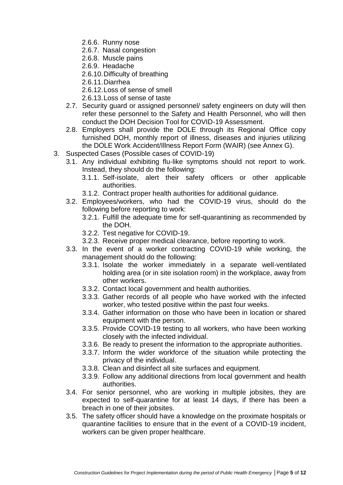- 2.6.6. Runny nose
- 2.6.7. Nasal congestion
- 2.6.8. Muscle pains
- 2.6.9. Headache
- 2.6.10.Difficulty of breathing
- 2.6.11.Diarrhea
- 2.6.12.Loss of sense of smell
- 2.6.13.Loss of sense of taste
- 2.7. Security guard or assigned personnel/ safety engineers on duty will then refer these personnel to the Safety and Health Personnel, who will then conduct the DOH Decision Tool for COVID-19 Assessment.
- 2.8. Employers shall provide the DOLE through its Regional Office copy furnished DOH, monthly report of illness, diseases and injuries utilizing the DOLE Work Accident/Illness Report Form (WAIR) (see Annex G).
- 3. Suspected Cases (Possible cases of COVID-19)
	- 3.1. Any individual exhibiting flu-like symptoms should not report to work. Instead, they should do the following:
		- 3.1.1. Self-isolate, alert their safety officers or other applicable authorities.
		- 3.1.2. Contract proper health authorities for additional guidance.
	- 3.2. Employees/workers, who had the COVID-19 virus, should do the following before reporting to work:
		- 3.2.1. Fulfill the adequate time for self-quarantining as recommended by the DOH.
		- 3.2.2. Test negative for COVID-19.
		- 3.2.3. Receive proper medical clearance, before reporting to work.
	- 3.3. In the event of a worker contracting COVID-19 while working, the management should do the following:
		- 3.3.1. Isolate the worker immediately in a separate well-ventilated holding area (or in site isolation room) in the workplace, away from other workers.
		- 3.3.2. Contact local government and health authorities.
		- 3.3.3. Gather records of all people who have worked with the infected worker, who tested positive within the past four weeks.
		- 3.3.4. Gather information on those who have been in location or shared equipment with the person.
		- 3.3.5. Provide COVID-19 testing to all workers, who have been working closely with the infected individual.
		- 3.3.6. Be ready to present the information to the appropriate authorities.
		- 3.3.7. Inform the wider workforce of the situation while protecting the privacy of the individual.
		- 3.3.8. Clean and disinfect all site surfaces and equipment.
		- 3.3.9. Follow any additional directions from local government and health authorities.
	- 3.4. For senior personnel, who are working in multiple jobsites, they are expected to self-quarantine for at least 14 days, if there has been a breach in one of their jobsites.
	- 3.5. The safety officer should have a knowledge on the proximate hospitals or quarantine facilities to ensure that in the event of a COVID-19 incident, workers can be given proper healthcare.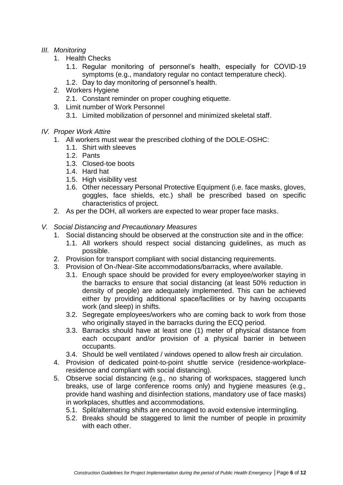# *III. Monitoring*

- 1. Health Checks
	- 1.1. Regular monitoring of personnel's health, especially for COVID-19 symptoms (e.g., mandatory regular no contact temperature check).
	- 1.2. Day to day monitoring of personnel's health.
- 2. Workers Hygiene
	- 2.1. Constant reminder on proper coughing etiquette.
- 3. Limit number of Work Personnel
	- 3.1. Limited mobilization of personnel and minimized skeletal staff.
- *IV. Proper Work Attire*
	- 1. All workers must wear the prescribed clothing of the DOLE-OSHC:
		- 1.1. Shirt with sleeves
		- 1.2. Pants
		- 1.3. Closed-toe boots
		- 1.4. Hard hat
		- 1.5. High visibility vest
		- 1.6. Other necessary Personal Protective Equipment (i.e. face masks, gloves, goggles, face shields, etc.) shall be prescribed based on specific characteristics of project.
	- 2. As per the DOH, all workers are expected to wear proper face masks.
- *V. Social Distancing and Precautionary Measures*
	- 1. Social distancing should be observed at the construction site and in the office:
		- 1.1. All workers should respect social distancing guidelines, as much as possible.
	- 2. Provision for transport compliant with social distancing requirements.
	- 3. Provision of On-/Near-Site accommodations/barracks, where available.
		- 3.1. Enough space should be provided for every employee/worker staying in the barracks to ensure that social distancing (at least 50% reduction in density of people) are adequately implemented. This can be achieved either by providing additional space/facilities or by having occupants work (and sleep) in shifts.
		- 3.2. Segregate employees/workers who are coming back to work from those who originally stayed in the barracks during the ECQ period.
		- 3.3. Barracks should have at least one (1) meter of physical distance from each occupant and/or provision of a physical barrier in between occupants.
		- 3.4. Should be well ventilated / windows opened to allow fresh air circulation.
	- 4. Provision of dedicated point-to-point shuttle service (residence-workplaceresidence and compliant with social distancing).
	- 5. Observe social distancing (e.g., no sharing of workspaces, staggered lunch breaks, use of large conference rooms only) and hygiene measures (e.g., provide hand washing and disinfection stations, mandatory use of face masks) in workplaces, shuttles and accommodations.
		- 5.1. Split/alternating shifts are encouraged to avoid extensive intermingling.
		- 5.2. Breaks should be staggered to limit the number of people in proximity with each other.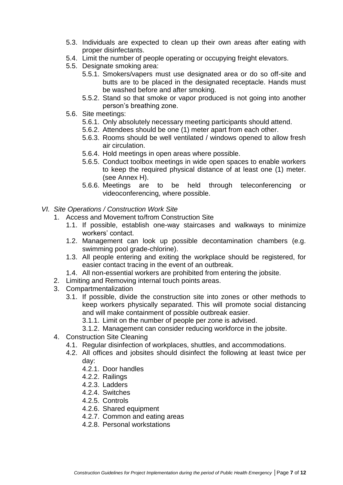- 5.3. Individuals are expected to clean up their own areas after eating with proper disinfectants.
- 5.4. Limit the number of people operating or occupying freight elevators.
- 5.5. Designate smoking area:
	- 5.5.1. Smokers/vapers must use designated area or do so off-site and butts are to be placed in the designated receptacle. Hands must be washed before and after smoking.
	- 5.5.2. Stand so that smoke or vapor produced is not going into another person's breathing zone.
- 5.6. Site meetings:
	- 5.6.1. Only absolutely necessary meeting participants should attend.
	- 5.6.2. Attendees should be one (1) meter apart from each other.
	- 5.6.3. Rooms should be well ventilated / windows opened to allow fresh air circulation.
	- 5.6.4. Hold meetings in open areas where possible.
	- 5.6.5. Conduct toolbox meetings in wide open spaces to enable workers to keep the required physical distance of at least one (1) meter. (see Annex H).
	- 5.6.6. Meetings are to be held through teleconferencing or videoconferencing, where possible.
- *VI. Site Operations / Construction Work Site*
	- 1. Access and Movement to/from Construction Site
		- 1.1. If possible, establish one-way staircases and walkways to minimize workers' contact.
		- 1.2. Management can look up possible decontamination chambers (e.g. swimming pool grade-chlorine).
		- 1.3. All people entering and exiting the workplace should be registered, for easier contact tracing in the event of an outbreak.
		- 1.4. All non-essential workers are prohibited from entering the jobsite.
	- 2. Limiting and Removing internal touch points areas.
	- 3. Compartmentalization
		- 3.1. If possible, divide the construction site into zones or other methods to keep workers physically separated. This will promote social distancing and will make containment of possible outbreak easier.
			- 3.1.1. Limit on the number of people per zone is advised.
			- 3.1.2. Management can consider reducing workforce in the jobsite.
	- 4. Construction Site Cleaning
		- 4.1. Regular disinfection of workplaces, shuttles, and accommodations.
		- 4.2. All offices and jobsites should disinfect the following at least twice per day:
			- 4.2.1. Door handles
			- 4.2.2. Railings
			- 4.2.3. Ladders
			- 4.2.4. Switches
			- 4.2.5. Controls
			- 4.2.6. Shared equipment
			- 4.2.7. Common and eating areas
			- 4.2.8. Personal workstations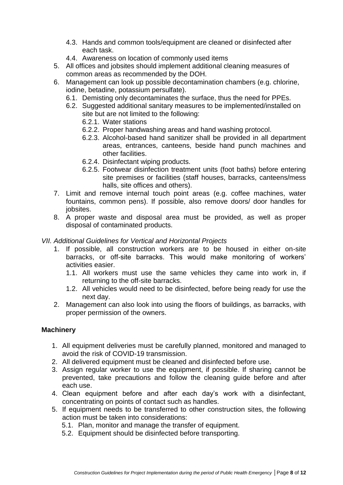- 4.3. Hands and common tools/equipment are cleaned or disinfected after each task.
- 4.4. Awareness on location of commonly used items
- 5. All offices and jobsites should implement additional cleaning measures of common areas as recommended by the DOH.
- 6. Management can look up possible decontamination chambers (e.g. chlorine, iodine, betadine, potassium persulfate).
	- 6.1. Demisting only decontaminates the surface, thus the need for PPEs.
	- 6.2. Suggested additional sanitary measures to be implemented/installed on site but are not limited to the following:
		- 6.2.1. Water stations
		- 6.2.2. Proper handwashing areas and hand washing protocol.
		- 6.2.3. Alcohol-based hand sanitizer shall be provided in all department areas, entrances, canteens, beside hand punch machines and other facilities.
		- 6.2.4. Disinfectant wiping products.
		- 6.2.5. Footwear disinfection treatment units (foot baths) before entering site premises or facilities (staff houses, barracks, canteens/mess halls, site offices and others).
- 7. Limit and remove internal touch point areas (e.g. coffee machines, water fountains, common pens). If possible, also remove doors/ door handles for jobsites.
- 8. A proper waste and disposal area must be provided, as well as proper disposal of contaminated products.

## *VII. Additional Guidelines for Vertical and Horizontal Projects*

- 1. If possible, all construction workers are to be housed in either on-site barracks, or off-site barracks. This would make monitoring of workers' activities easier.
	- 1.1. All workers must use the same vehicles they came into work in, if returning to the off-site barracks.
	- 1.2. All vehicles would need to be disinfected, before being ready for use the next day.
- 2. Management can also look into using the floors of buildings, as barracks, with proper permission of the owners.

## **Machinery**

- 1. All equipment deliveries must be carefully planned, monitored and managed to avoid the risk of COVID-19 transmission.
- 2. All delivered equipment must be cleaned and disinfected before use.
- 3. Assign regular worker to use the equipment, if possible. If sharing cannot be prevented, take precautions and follow the cleaning guide before and after each use.
- 4. Clean equipment before and after each day's work with a disinfectant, concentrating on points of contact such as handles.
- 5. If equipment needs to be transferred to other construction sites, the following action must be taken into considerations:
	- 5.1. Plan, monitor and manage the transfer of equipment.
	- 5.2. Equipment should be disinfected before transporting.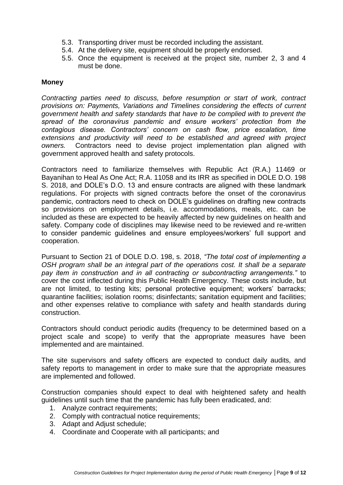- 5.3. Transporting driver must be recorded including the assistant.
- 5.4. At the delivery site, equipment should be properly endorsed.
- 5.5. Once the equipment is received at the project site, number 2, 3 and 4 must be done.

#### **Money**

*Contracting parties need to discuss, before resumption or start of work, contract provisions on: Payments, Variations and Timelines considering the effects of current government health and safety standards that have to be complied with to prevent the spread of the coronavirus pandemic and ensure workers' protection from the contagious disease. Contractors' concern on cash flow, price escalation, time extensions and productivity will need to be established and agreed with project owners.* Contractors need to devise project implementation plan aligned with government approved health and safety protocols.

Contractors need to familiarize themselves with Republic Act (R.A.) 11469 or Bayanihan to Heal As One Act; R.A. 11058 and its IRR as specified in DOLE D.O. 198 S. 2018, and DOLE's D.O. 13 and ensure contracts are aligned with these landmark regulations. For projects with signed contracts before the onset of the coronavirus pandemic, contractors need to check on DOLE's guidelines on drafting new contracts so provisions on employment details, i.e. accommodations, meals, etc. can be included as these are expected to be heavily affected by new guidelines on health and safety. Company code of disciplines may likewise need to be reviewed and re-written to consider pandemic guidelines and ensure employees/workers' full support and cooperation.

Pursuant to Section 21 of DOLE D.O. 198, s. 2018, *"The total cost of implementing a OSH program shall be an integral part of the operations cost. It shall be a separate pay item in construction and in all contracting or subcontracting arrangements."* to cover the cost inflected during this Public Health Emergency. These costs include, but are not limited, to testing kits; personal protective equipment; workers' barracks; quarantine facilities; isolation rooms; disinfectants; sanitation equipment and facilities; and other expenses relative to compliance with safety and health standards during construction.

Contractors should conduct periodic audits (frequency to be determined based on a project scale and scope) to verify that the appropriate measures have been implemented and are maintained.

The site supervisors and safety officers are expected to conduct daily audits, and safety reports to management in order to make sure that the appropriate measures are implemented and followed.

Construction companies should expect to deal with heightened safety and health guidelines until such time that the pandemic has fully been eradicated, and:

- 1. Analyze contract requirements;
- 2. Comply with contractual notice requirements;
- 3. Adapt and Adjust schedule;
- 4. Coordinate and Cooperate with all participants; and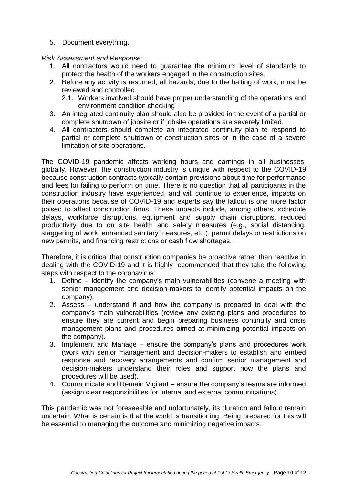5. Document everything.

## *Risk Assessment and Response:*

- 1. All contractors would need to guarantee the minimum level of standards to protect the health of the workers engaged in the construction sites.
- 2. Before any activity is resumed, all hazards, due to the halting of work, must be reviewed and controlled.
	- 2.1. Workers involved should have proper understanding of the operations and environment condition checking
- 3. An integrated continuity plan should also be provided in the event of a partial or complete shutdown of jobsite or if jobsite operations are severely limited.
- 4. All contractors should complete an integrated continuity plan to respond to partial or complete shutdown of construction sites or in the case of a severe limitation of site operations.

The COVID-19 pandemic affects working hours and earnings in all businesses, globally. However, the construction industry is unique with respect to the COVID-19 because construction contracts typically contain provisions about time for performance and fees for failing to perform on time. There is no question that all participants in the construction industry have experienced, and will continue to experience, impacts on their operations because of COVID-19 and experts say the fallout is one more factor poised to affect construction firms. These impacts include, among others, schedule delays, workforce disruptions, equipment and supply chain disruptions, reduced productivity due to on site health and safety measures (e.g., social distancing, staggering of work, enhanced sanitary measures, etc.), permit delays or restrictions on new permits, and financing restrictions or cash flow shortages.

Therefore, it is critical that construction companies be proactive rather than reactive in dealing with the COVID-19 and it is highly recommended that they take the following steps with respect to the coronavirus:

- 1. Define identify the company's main vulnerabilities (convene a meeting with senior management and decision-makers to identify potential impacts on the company).
- 2. Assess understand if and how the company is prepared to deal with the company's main vulnerabilities (review any existing plans and procedures to ensure they are current and begin preparing business continuity and crisis management plans and procedures aimed at minimizing potential impacts on the company).
- 3. Implement and Manage ensure the company's plans and procedures work (work with senior management and decision-makers to establish and embed response and recovery arrangements and confirm senior management and decision-makers understand their roles and support how the plans and procedures will be used).
- 4. Communicate and Remain Vigilant ensure the company's teams are informed (assign clear responsibilities for internal and external communications).

This pandemic was not foreseeable and unfortunately, its duration and fallout remain uncertain. What is certain is that the world is transitioning. Being prepared for this will be essential to managing the outcome and minimizing negative impacts.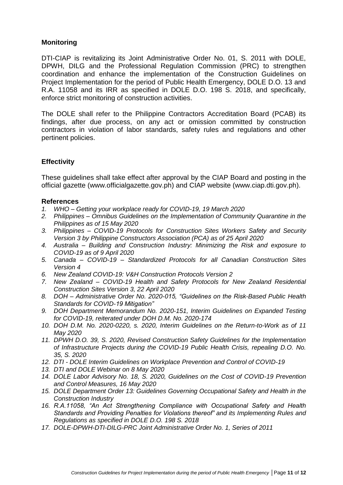# **Monitoring**

DTI-CIAP is revitalizing its Joint Administrative Order No. 01, S. 2011 with DOLE, DPWH, DILG and the Professional Regulation Commission (PRC) to strengthen coordination and enhance the implementation of the Construction Guidelines on Project Implementation for the period of Public Health Emergency, DOLE D.O. 13 and R.A. 11058 and its IRR as specified in DOLE D.O. 198 S. 2018, and specifically, enforce strict monitoring of construction activities.

The DOLE shall refer to the Philippine Contractors Accreditation Board (PCAB) its findings, after due process, on any act or omission committed by construction contractors in violation of labor standards, safety rules and regulations and other pertinent policies.

# **Effectivity**

These guidelines shall take effect after approval by the CIAP Board and posting in the official gazette [\(www.officialgazette.gov.ph\)](http://www.officialgazette.gov.ph/) and CIAP website (www.ciap.dti.gov.ph).

#### **References**

- *1. WHO – Getting your workplace ready for COVID-19, 19 March 2020*
- *2. Philippines – Omnibus Guidelines on the Implementation of Community Quarantine in the Philippines as of 15 May 2020*
- *3. Philippines – COVID-19 Protocols for Construction Sites Workers Safety and Security Version 3 by Philippine Constructors Association (PCA) as of 25 April 2020*
- *4. Australia – Building and Construction Industry: Minimizing the Risk and exposure to COVID-19 as of 9 April 2020*
- *5. Canada – COVID-19 – Standardized Protocols for all Canadian Construction Sites Version 4*
- *6. New Zealand COVID-19: V&H Construction Protocols Version 2*
- *7. New Zealand – COVID-19 Health and Safety Protocols for New Zealand Residential Construction Sites Version 3, 22 April 2020*
- *8. DOH – Administrative Order No. 2020-015, "Guidelines on the Risk-Based Public Health Standards for COVID-19 Mitigation"*
- *9. DOH Department Memorandum No. 2020-151, Interim Guidelines on Expanded Testing for COVID-19, reiterated under DOH D.M. No. 2020-174*
- *10. DOH D.M. No. 2020-0220, s. 2020, Interim Guidelines on the Return-to-Work as of 11 May 2020*
- *11. DPWH D.O. 39, S. 2020, Revised Construction Safety Guidelines for the Implementation of Infrastructure Projects during the COVID-19 Public Health Crisis, repealing D.O. No. 35, S. 2020*
- *12. DTI - DOLE Interim Guidelines on Workplace Prevention and Control of COVID-19*
- *13. DTI and DOLE Webinar on 8 May 2020*
- *14. DOLE Labor Advisory No. 18, S. 2020, Guidelines on the Cost of COVID-19 Prevention and Control Measures, 16 May 2020*
- *15. DOLE Department Order 13: Guidelines Governing Occupational Safety and Health in the Construction Industry*
- *16. R.A.11058, "An Act Strengthening Compliance with Occupational Safety and Health Standards and Providing Penalties for Violations thereof" and its Implementing Rules and Regulations as specified in DOLE D.O. 198 S. 2018*
- *17. DOLE-DPWH-DTI-DILG-PRC Joint Administrative Order No. 1, Series of 2011*